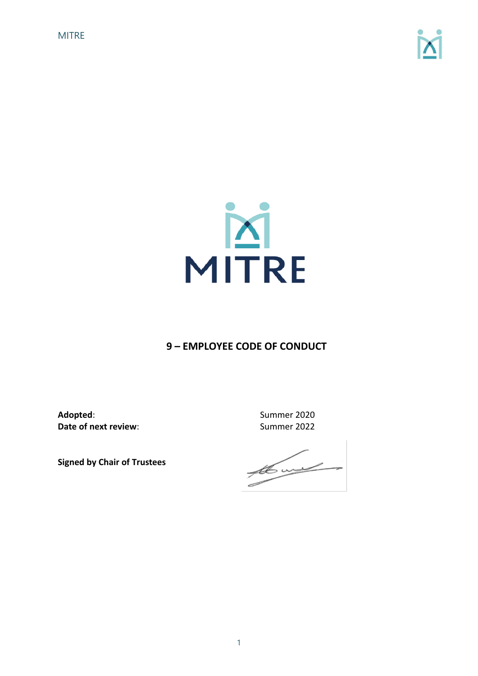



# **9 – EMPLOYEE CODE OF CONDUCT**

**Adopted**: Summer 2020 **Date of next review:** Summer 2022

**Signed by Chair of Trustees** 

 $\frac{1}{\sqrt{2}}$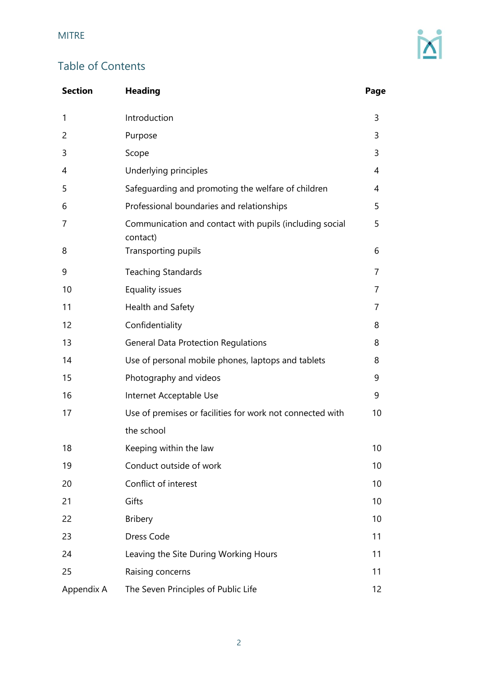# Table of Contents

| <b>Section</b> | <b>Heading</b>                                                      | Page |
|----------------|---------------------------------------------------------------------|------|
| 1              | Introduction                                                        | 3    |
| 2              | Purpose                                                             | 3    |
| 3              | Scope                                                               | 3    |
| 4              | Underlying principles                                               | 4    |
| 5              | Safeguarding and promoting the welfare of children                  | 4    |
| 6              | Professional boundaries and relationships                           | 5    |
| 7              | Communication and contact with pupils (including social<br>contact) | 5    |
| 8              | Transporting pupils                                                 | 6    |
| 9              | <b>Teaching Standards</b>                                           | 7    |
| 10             | Equality issues                                                     | 7    |
| 11             | Health and Safety                                                   | 7    |
| 12             | Confidentiality                                                     | 8    |
| 13             | <b>General Data Protection Regulations</b>                          | 8    |
| 14             | Use of personal mobile phones, laptops and tablets                  | 8    |
| 15             | Photography and videos                                              | 9    |
| 16             | Internet Acceptable Use                                             | 9    |
| 17             | Use of premises or facilities for work not connected with           | 10   |
|                | the school                                                          |      |
| 18             | Keeping within the law                                              | 10   |
| 19             | Conduct outside of work                                             | 10   |
| 20             | Conflict of interest                                                | 10   |
| 21             | Gifts                                                               | 10   |
| 22             | <b>Bribery</b>                                                      | 10   |
| 23             | Dress Code                                                          | 11   |
| 24             | Leaving the Site During Working Hours                               | 11   |
| 25             | Raising concerns                                                    | 11   |
| Appendix A     | The Seven Principles of Public Life                                 | 12   |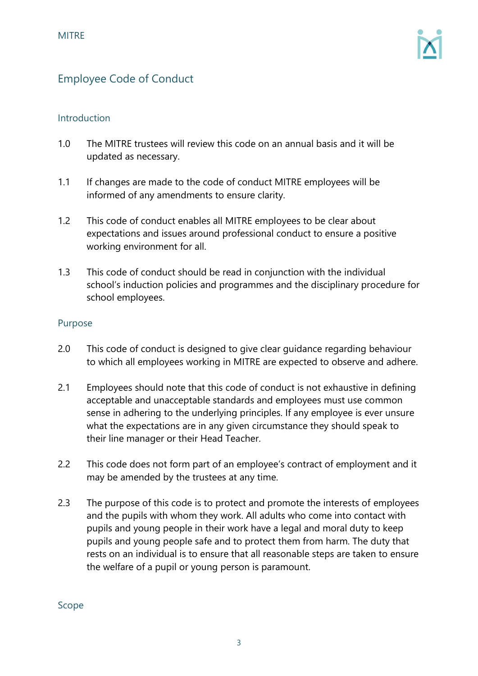# Employee Code of Conduct

#### Introduction

- 1.0 The MITRE trustees will review this code on an annual basis and it will be updated as necessary.
- 1.1 If changes are made to the code of conduct MITRE employees will be informed of any amendments to ensure clarity.
- 1.2 This code of conduct enables all MITRE employees to be clear about expectations and issues around professional conduct to ensure a positive working environment for all.
- 1.3 This code of conduct should be read in conjunction with the individual school's induction policies and programmes and the disciplinary procedure for school employees.

#### Purpose

- 2.0 This code of conduct is designed to give clear guidance regarding behaviour to which all employees working in MITRE are expected to observe and adhere.
- 2.1 Employees should note that this code of conduct is not exhaustive in defining acceptable and unacceptable standards and employees must use common sense in adhering to the underlying principles. If any employee is ever unsure what the expectations are in any given circumstance they should speak to their line manager or their Head Teacher.
- 2.2 This code does not form part of an employee's contract of employment and it may be amended by the trustees at any time.
- 2.3 The purpose of this code is to protect and promote the interests of employees and the pupils with whom they work. All adults who come into contact with pupils and young people in their work have a legal and moral duty to keep pupils and young people safe and to protect them from harm. The duty that rests on an individual is to ensure that all reasonable steps are taken to ensure the welfare of a pupil or young person is paramount.

Scope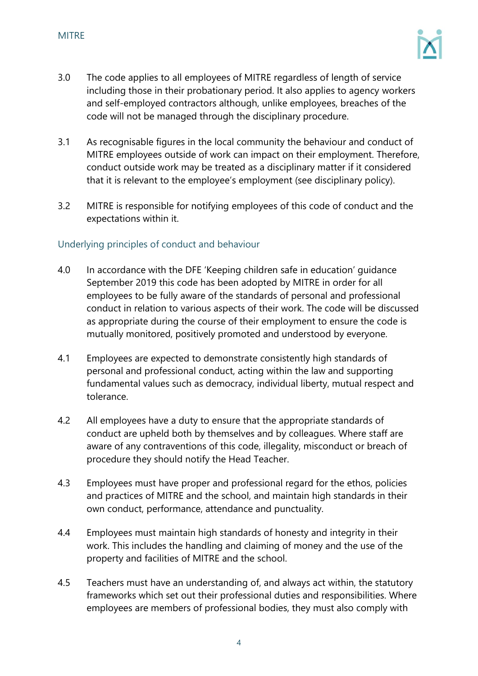

- 3.0 The code applies to all employees of MITRE regardless of length of service including those in their probationary period. It also applies to agency workers and self-employed contractors although, unlike employees, breaches of the code will not be managed through the disciplinary procedure.
- 3.1 As recognisable figures in the local community the behaviour and conduct of MITRE employees outside of work can impact on their employment. Therefore, conduct outside work may be treated as a disciplinary matter if it considered that it is relevant to the employee's employment (see disciplinary policy).
- 3.2 MITRE is responsible for notifying employees of this code of conduct and the expectations within it.

# Underlying principles of conduct and behaviour

- 4.0 In accordance with the DFE 'Keeping children safe in education' guidance September 2019 this code has been adopted by MITRE in order for all employees to be fully aware of the standards of personal and professional conduct in relation to various aspects of their work. The code will be discussed as appropriate during the course of their employment to ensure the code is mutually monitored, positively promoted and understood by everyone.
- 4.1 Employees are expected to demonstrate consistently high standards of personal and professional conduct, acting within the law and supporting fundamental values such as democracy, individual liberty, mutual respect and tolerance.
- 4.2 All employees have a duty to ensure that the appropriate standards of conduct are upheld both by themselves and by colleagues. Where staff are aware of any contraventions of this code, illegality, misconduct or breach of procedure they should notify the Head Teacher.
- 4.3 Employees must have proper and professional regard for the ethos, policies and practices of MITRE and the school, and maintain high standards in their own conduct, performance, attendance and punctuality.
- 4.4 Employees must maintain high standards of honesty and integrity in their work. This includes the handling and claiming of money and the use of the property and facilities of MITRE and the school.
- 4.5 Teachers must have an understanding of, and always act within, the statutory frameworks which set out their professional duties and responsibilities. Where employees are members of professional bodies, they must also comply with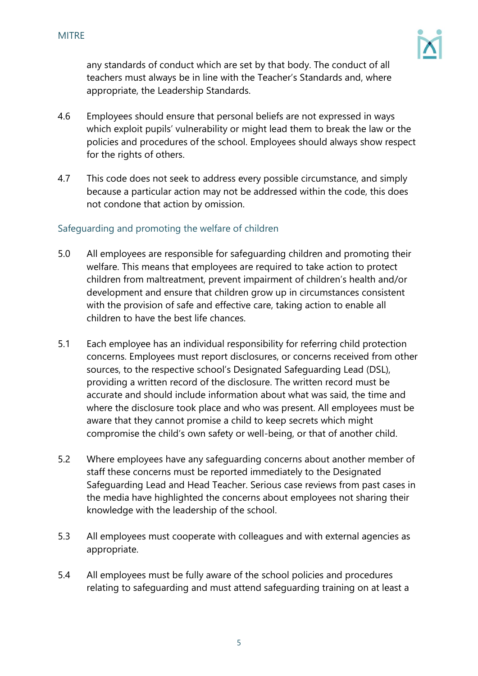

any standards of conduct which are set by that body. The conduct of all teachers must always be in line with the Teacher's Standards and, where appropriate, the Leadership Standards.

- 4.6 Employees should ensure that personal beliefs are not expressed in ways which exploit pupils' vulnerability or might lead them to break the law or the policies and procedures of the school. Employees should always show respect for the rights of others.
- 4.7 This code does not seek to address every possible circumstance, and simply because a particular action may not be addressed within the code, this does not condone that action by omission.

# Safeguarding and promoting the welfare of children

- 5.0 All employees are responsible for safeguarding children and promoting their welfare. This means that employees are required to take action to protect children from maltreatment, prevent impairment of children's health and/or development and ensure that children grow up in circumstances consistent with the provision of safe and effective care, taking action to enable all children to have the best life chances.
- 5.1 Each employee has an individual responsibility for referring child protection concerns. Employees must report disclosures, or concerns received from other sources, to the respective school's Designated Safeguarding Lead (DSL), providing a written record of the disclosure. The written record must be accurate and should include information about what was said, the time and where the disclosure took place and who was present. All employees must be aware that they cannot promise a child to keep secrets which might compromise the child's own safety or well-being, or that of another child.
- 5.2 Where employees have any safeguarding concerns about another member of staff these concerns must be reported immediately to the Designated Safeguarding Lead and Head Teacher. Serious case reviews from past cases in the media have highlighted the concerns about employees not sharing their knowledge with the leadership of the school.
- 5.3 All employees must cooperate with colleagues and with external agencies as appropriate.
- 5.4 All employees must be fully aware of the school policies and procedures relating to safeguarding and must attend safeguarding training on at least a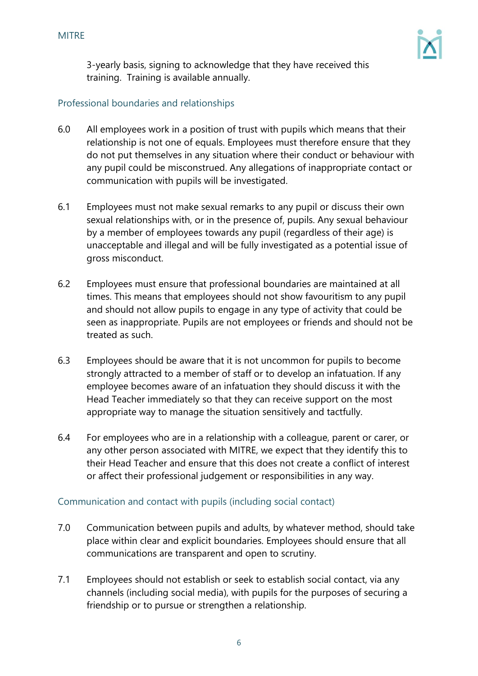

3-yearly basis, signing to acknowledge that they have received this training. Training is available annually.

# Professional boundaries and relationships

- 6.0 All employees work in a position of trust with pupils which means that their relationship is not one of equals. Employees must therefore ensure that they do not put themselves in any situation where their conduct or behaviour with any pupil could be misconstrued. Any allegations of inappropriate contact or communication with pupils will be investigated.
- 6.1 Employees must not make sexual remarks to any pupil or discuss their own sexual relationships with, or in the presence of, pupils. Any sexual behaviour by a member of employees towards any pupil (regardless of their age) is unacceptable and illegal and will be fully investigated as a potential issue of gross misconduct.
- 6.2 Employees must ensure that professional boundaries are maintained at all times. This means that employees should not show favouritism to any pupil and should not allow pupils to engage in any type of activity that could be seen as inappropriate. Pupils are not employees or friends and should not be treated as such.
- 6.3 Employees should be aware that it is not uncommon for pupils to become strongly attracted to a member of staff or to develop an infatuation. If any employee becomes aware of an infatuation they should discuss it with the Head Teacher immediately so that they can receive support on the most appropriate way to manage the situation sensitively and tactfully.
- 6.4 For employees who are in a relationship with a colleague, parent or carer, or any other person associated with MITRE, we expect that they identify this to their Head Teacher and ensure that this does not create a conflict of interest or affect their professional judgement or responsibilities in any way.

#### Communication and contact with pupils (including social contact)

- 7.0 Communication between pupils and adults, by whatever method, should take place within clear and explicit boundaries. Employees should ensure that all communications are transparent and open to scrutiny.
- 7.1 Employees should not establish or seek to establish social contact, via any channels (including social media), with pupils for the purposes of securing a friendship or to pursue or strengthen a relationship.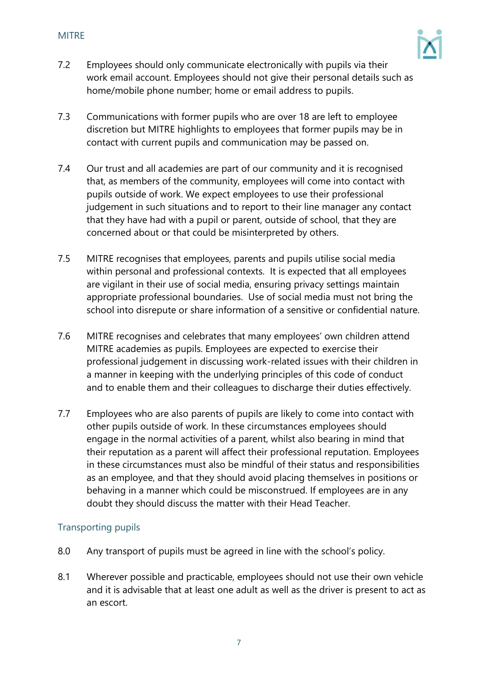

- 7.2 Employees should only communicate electronically with pupils via their work email account. Employees should not give their personal details such as home/mobile phone number; home or email address to pupils.
- 7.3 Communications with former pupils who are over 18 are left to employee discretion but MITRE highlights to employees that former pupils may be in contact with current pupils and communication may be passed on.
- 7.4 Our trust and all academies are part of our community and it is recognised that, as members of the community, employees will come into contact with pupils outside of work. We expect employees to use their professional judgement in such situations and to report to their line manager any contact that they have had with a pupil or parent, outside of school, that they are concerned about or that could be misinterpreted by others.
- 7.5 MITRE recognises that employees, parents and pupils utilise social media within personal and professional contexts. It is expected that all employees are vigilant in their use of social media, ensuring privacy settings maintain appropriate professional boundaries. Use of social media must not bring the school into disrepute or share information of a sensitive or confidential nature.
- 7.6 MITRE recognises and celebrates that many employees' own children attend MITRE academies as pupils. Employees are expected to exercise their professional judgement in discussing work-related issues with their children in a manner in keeping with the underlying principles of this code of conduct and to enable them and their colleagues to discharge their duties effectively.
- 7.7 Employees who are also parents of pupils are likely to come into contact with other pupils outside of work. In these circumstances employees should engage in the normal activities of a parent, whilst also bearing in mind that their reputation as a parent will affect their professional reputation. Employees in these circumstances must also be mindful of their status and responsibilities as an employee, and that they should avoid placing themselves in positions or behaving in a manner which could be misconstrued. If employees are in any doubt they should discuss the matter with their Head Teacher.

#### Transporting pupils

- 8.0 Any transport of pupils must be agreed in line with the school's policy.
- 8.1 Wherever possible and practicable, employees should not use their own vehicle and it is advisable that at least one adult as well as the driver is present to act as an escort.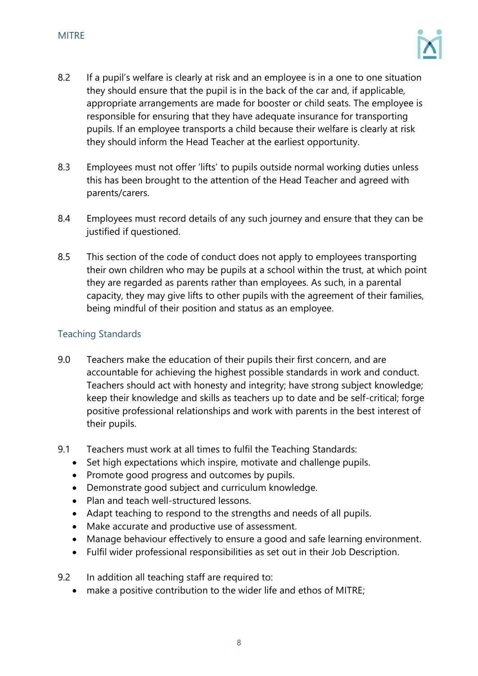

- 8.2 If a pupil's welfare is clearly at risk and an employee is in a one to one situation they should ensure that the pupil is in the back of the car and, if applicable, appropriate arrangements are made for booster or child seats. The employee is responsible for ensuring that they have adequate insurance for transporting pupils. If an employee transports a child because their welfare is clearly at risk they should inform the Head Teacher at the earliest opportunity.
- 8.3 Employees must not offer 'lifts' to pupils outside normal working duties unless this has been brought to the attention of the Head Teacher and agreed with parents/carers.
- 8.4 Employees must record details of any such journey and ensure that they can be justified if questioned.
- 8.5 This section of the code of conduct does not apply to employees transporting their own children who may be pupils at a school within the trust, at which point they are regarded as parents rather than employees. As such, in a parental capacity, they may give lifts to other pupils with the agreement of their families, being mindful of their position and status as an employee.

# Teaching Standards

- 9.0 Teachers make the education of their pupils their first concern, and are accountable for achieving the highest possible standards in work and conduct. Teachers should act with honesty and integrity; have strong subject knowledge; keep their knowledge and skills as teachers up to date and be self-critical; forge positive professional relationships and work with parents in the best interest of their pupils.
- 9.1 Teachers must work at all times to fulfil the Teaching Standards:
	- Set high expectations which inspire, motivate and challenge pupils.
	- Promote good progress and outcomes by pupils.
	- Demonstrate good subject and curriculum knowledge.
	- Plan and teach well-structured lessons.
	- Adapt teaching to respond to the strengths and needs of all pupils.
	- Make accurate and productive use of assessment.
	- Manage behaviour effectively to ensure a good and safe learning environment.
	- Fulfil wider professional responsibilities as set out in their Job Description.
- 9.2 In addition all teaching staff are required to:
	- make a positive contribution to the wider life and ethos of MITRE;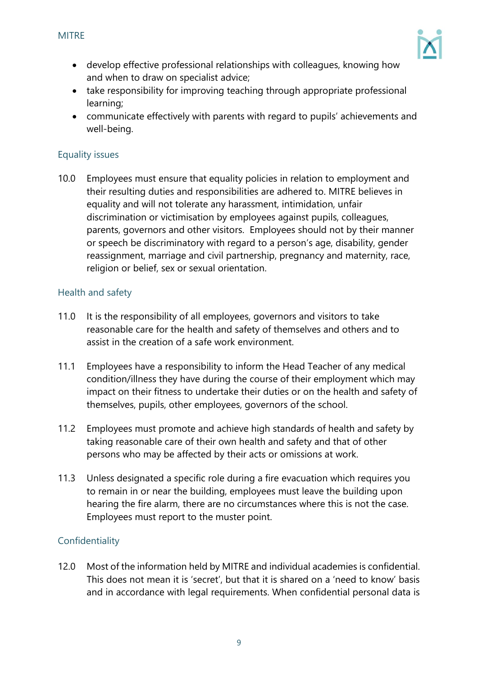

- develop effective professional relationships with colleagues, knowing how and when to draw on specialist advice;
- take responsibility for improving teaching through appropriate professional learning;
- communicate effectively with parents with regard to pupils' achievements and well-being.

# Equality issues

10.0 Employees must ensure that equality policies in relation to employment and their resulting duties and responsibilities are adhered to. MITRE believes in equality and will not tolerate any harassment, intimidation, unfair discrimination or victimisation by employees against pupils, colleagues, parents, governors and other visitors. Employees should not by their manner or speech be discriminatory with regard to a person's age, disability, gender reassignment, marriage and civil partnership, pregnancy and maternity, race, religion or belief, sex or sexual orientation.

# Health and safety

- 11.0 It is the responsibility of all employees, governors and visitors to take reasonable care for the health and safety of themselves and others and to assist in the creation of a safe work environment.
- 11.1 Employees have a responsibility to inform the Head Teacher of any medical condition/illness they have during the course of their employment which may impact on their fitness to undertake their duties or on the health and safety of themselves, pupils, other employees, governors of the school.
- 11.2 Employees must promote and achieve high standards of health and safety by taking reasonable care of their own health and safety and that of other persons who may be affected by their acts or omissions at work.
- 11.3 Unless designated a specific role during a fire evacuation which requires you to remain in or near the building, employees must leave the building upon hearing the fire alarm, there are no circumstances where this is not the case. Employees must report to the muster point.

# Confidentiality

12.0 Most of the information held by MITRE and individual academies is confidential. This does not mean it is 'secret', but that it is shared on a 'need to know' basis and in accordance with legal requirements. When confidential personal data is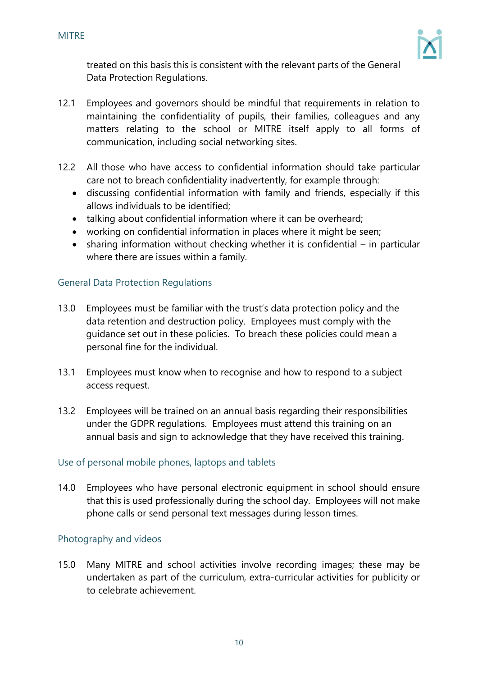

treated on this basis this is consistent with the relevant parts of the General Data Protection Regulations.

- 12.1 Employees and governors should be mindful that requirements in relation to maintaining the confidentiality of pupils, their families, colleagues and any matters relating to the school or MITRE itself apply to all forms of communication, including social networking sites.
- 12.2 All those who have access to confidential information should take particular care not to breach confidentiality inadvertently, for example through:
	- discussing confidential information with family and friends, especially if this allows individuals to be identified;
	- talking about confidential information where it can be overheard;
	- working on confidential information in places where it might be seen;
	- sharing information without checking whether it is confidential in particular where there are issues within a family.

# General Data Protection Regulations

- 13.0 Employees must be familiar with the trust's data protection policy and the data retention and destruction policy. Employees must comply with the guidance set out in these policies. To breach these policies could mean a personal fine for the individual.
- 13.1 Employees must know when to recognise and how to respond to a subject access request.
- 13.2 Employees will be trained on an annual basis regarding their responsibilities under the GDPR regulations. Employees must attend this training on an annual basis and sign to acknowledge that they have received this training.

# Use of personal mobile phones, laptops and tablets

14.0 Employees who have personal electronic equipment in school should ensure that this is used professionally during the school day. Employees will not make phone calls or send personal text messages during lesson times.

# Photography and videos

15.0 Many MITRE and school activities involve recording images; these may be undertaken as part of the curriculum, extra-curricular activities for publicity or to celebrate achievement.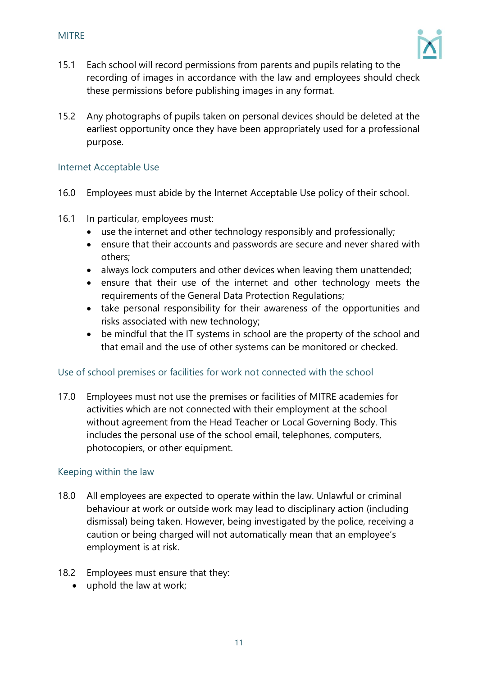

- 15.1 Each school will record permissions from parents and pupils relating to the recording of images in accordance with the law and employees should check these permissions before publishing images in any format.
- 15.2 Any photographs of pupils taken on personal devices should be deleted at the earliest opportunity once they have been appropriately used for a professional purpose.

#### Internet Acceptable Use

- 16.0 Employees must abide by the Internet Acceptable Use policy of their school.
- 16.1 In particular, employees must:
	- use the internet and other technology responsibly and professionally;
	- ensure that their accounts and passwords are secure and never shared with others;
	- always lock computers and other devices when leaving them unattended;
	- ensure that their use of the internet and other technology meets the requirements of the General Data Protection Regulations;
	- take personal responsibility for their awareness of the opportunities and risks associated with new technology;
	- be mindful that the IT systems in school are the property of the school and that email and the use of other systems can be monitored or checked.

#### Use of school premises or facilities for work not connected with the school

17.0 Employees must not use the premises or facilities of MITRE academies for activities which are not connected with their employment at the school without agreement from the Head Teacher or Local Governing Body. This includes the personal use of the school email, telephones, computers, photocopiers, or other equipment.

#### Keeping within the law

- 18.0 All employees are expected to operate within the law. Unlawful or criminal behaviour at work or outside work may lead to disciplinary action (including dismissal) being taken. However, being investigated by the police, receiving a caution or being charged will not automatically mean that an employee's employment is at risk.
- 18.2 Employees must ensure that they:
	- uphold the law at work: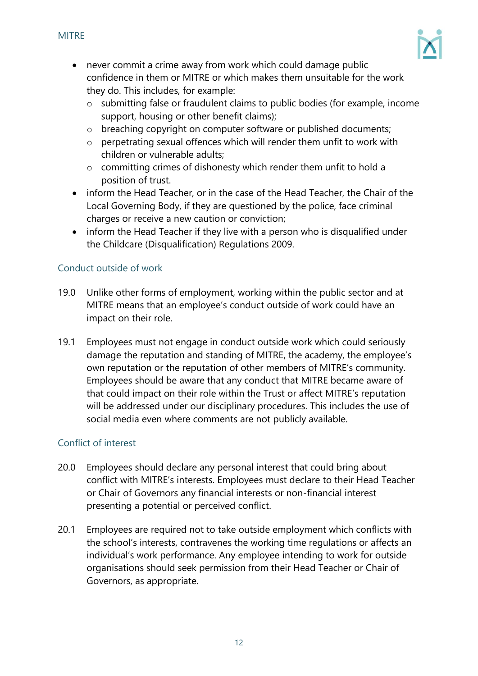

- never commit a crime away from work which could damage public confidence in them or MITRE or which makes them unsuitable for the work they do. This includes, for example:
	- o submitting false or fraudulent claims to public bodies (for example, income support, housing or other benefit claims);
	- o breaching copyright on computer software or published documents;
	- o perpetrating sexual offences which will render them unfit to work with children or vulnerable adults;
	- o committing crimes of dishonesty which render them unfit to hold a position of trust.
- inform the Head Teacher, or in the case of the Head Teacher, the Chair of the Local Governing Body, if they are questioned by the police, face criminal charges or receive a new caution or conviction;
- inform the Head Teacher if they live with a person who is disqualified under the Childcare (Disqualification) Regulations 2009.

# Conduct outside of work

- 19.0 Unlike other forms of employment, working within the public sector and at MITRE means that an employee's conduct outside of work could have an impact on their role.
- 19.1 Employees must not engage in conduct outside work which could seriously damage the reputation and standing of MITRE, the academy, the employee's own reputation or the reputation of other members of MITRE's community. Employees should be aware that any conduct that MITRE became aware of that could impact on their role within the Trust or affect MITRE's reputation will be addressed under our disciplinary procedures. This includes the use of social media even where comments are not publicly available.

# Conflict of interest

- 20.0 Employees should declare any personal interest that could bring about conflict with MITRE's interests. Employees must declare to their Head Teacher or Chair of Governors any financial interests or non-financial interest presenting a potential or perceived conflict.
- 20.1 Employees are required not to take outside employment which conflicts with the school's interests, contravenes the working time regulations or affects an individual's work performance. Any employee intending to work for outside organisations should seek permission from their Head Teacher or Chair of Governors, as appropriate.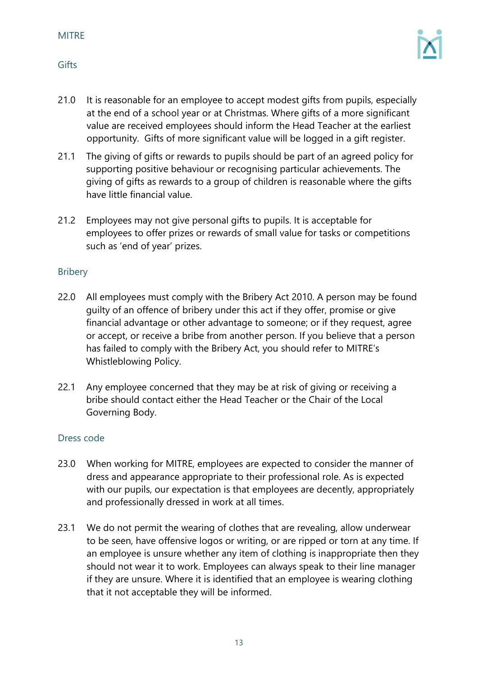#### MITRE

- 21.0 It is reasonable for an employee to accept modest gifts from pupils, especially at the end of a school year or at Christmas. Where gifts of a more significant value are received employees should inform the Head Teacher at the earliest opportunity. Gifts of more significant value will be logged in a gift register.
- 21.1 The giving of gifts or rewards to pupils should be part of an agreed policy for supporting positive behaviour or recognising particular achievements. The giving of gifts as rewards to a group of children is reasonable where the gifts have little financial value.
- 21.2 Employees may not give personal gifts to pupils. It is acceptable for employees to offer prizes or rewards of small value for tasks or competitions such as 'end of year' prizes.

#### Bribery

- 22.0 All employees must comply with the Bribery Act 2010. A person may be found guilty of an offence of bribery under this act if they offer, promise or give financial advantage or other advantage to someone; or if they request, agree or accept, or receive a bribe from another person. If you believe that a person has failed to comply with the Bribery Act, you should refer to MITRE's Whistleblowing Policy.
- 22.1 Any employee concerned that they may be at risk of giving or receiving a bribe should contact either the Head Teacher or the Chair of the Local Governing Body.

#### Dress code

- 23.0 When working for MITRE, employees are expected to consider the manner of dress and appearance appropriate to their professional role. As is expected with our pupils, our expectation is that employees are decently, appropriately and professionally dressed in work at all times.
- 23.1 We do not permit the wearing of clothes that are revealing, allow underwear to be seen, have offensive logos or writing, or are ripped or torn at any time. If an employee is unsure whether any item of clothing is inappropriate then they should not wear it to work. Employees can always speak to their line manager if they are unsure. Where it is identified that an employee is wearing clothing that it not acceptable they will be informed.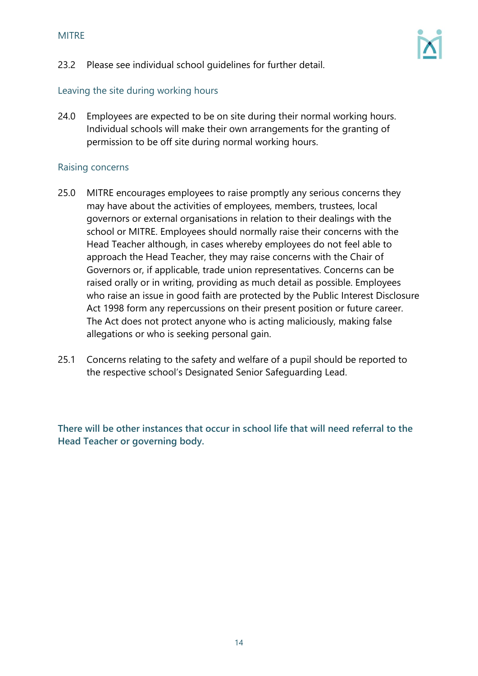

#### Leaving the site during working hours

24.0 Employees are expected to be on site during their normal working hours. Individual schools will make their own arrangements for the granting of permission to be off site during normal working hours.

#### Raising concerns

- 25.0 MITRE encourages employees to raise promptly any serious concerns they may have about the activities of employees, members, trustees, local governors or external organisations in relation to their dealings with the school or MITRE. Employees should normally raise their concerns with the Head Teacher although, in cases whereby employees do not feel able to approach the Head Teacher, they may raise concerns with the Chair of Governors or, if applicable, trade union representatives. Concerns can be raised orally or in writing, providing as much detail as possible. Employees who raise an issue in good faith are protected by the Public Interest Disclosure Act 1998 form any repercussions on their present position or future career. The Act does not protect anyone who is acting maliciously, making false allegations or who is seeking personal gain.
- 25.1 Concerns relating to the safety and welfare of a pupil should be reported to the respective school's Designated Senior Safeguarding Lead.

**There will be other instances that occur in school life that will need referral to the Head Teacher or governing body.**